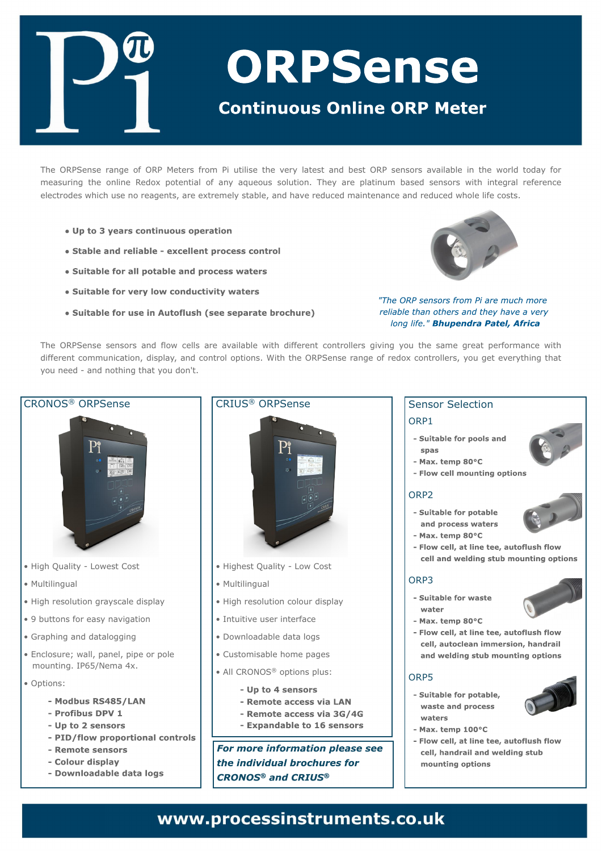Uif PSQTfotf sbohf pg PSQ Nfufst gspn Gjvujmif uif wisz mbuftu boe cftu PSQ tfotpst bwbjmbcmi jo uif x psme upebz gps n f bt vsjoh uif pomof Sfepy qpufoujbmpg boz brvfpvt tpmujpo/ Uifz bsf qmbujovn cbtfe tfotpst x jui joufhsbmsfgfsfodf frinduspeft xijdi vtf op sfbhfout-bsf fyusfn fm2tubcrh-boe ibwf sfevdfen bjoufobodf boe sfevdfe xiprh rjnf dptut/

Uif PSQTfotf tfotpst boe gnox dfmt bsf bwbjmbcm x jui ejggfsfou dpouspmntst hjwjoh zpv uif tbn f hsfbu qfsgpsn bodf x jui ejgf sfou dpn n vojdbujpo-ejt qrbz- boe dpouspmpqujpot/X jui uif PSQTf otf sbohf pg sfepy dpouspmfist-zpv hfu fwf szuijoh uibu zpv of fe. boe opu joh u buzpv epo(u'

| DSPOPT <sup>Œ</sup> PSQTf ot f                                                                                                                                                                       | DSJVT <sup>Œ</sup> PSQTf ot f                                                                                                                                           | Tf ot ps Tf mdujpo<br>PSQ <sub>2</sub> |
|------------------------------------------------------------------------------------------------------------------------------------------------------------------------------------------------------|-------------------------------------------------------------------------------------------------------------------------------------------------------------------------|----------------------------------------|
|                                                                                                                                                                                                      |                                                                                                                                                                         | <b>PSQ3</b>                            |
| iljhi Rvbmjuz. MpxftuDptu<br>i Nvminohvbm<br>i I jhi sf t pm ujpo h sbzt dbrh ejt qrbz<br>i : cvupot gos f bt z obwihbujpo<br>i Hsbqi joh boe ebubmhhjoh<br>i Fodmpt v sf < x bmn qbof m qjqf ps qpm | ï ljhiftu Rvbrjuz. Mpx Dptu<br>ï Nvmijnohvbm<br>ï ljhi sftpmujpo dpmpvsejtqmbz<br>ï Jouvjujwf vtfsjoufsgodf<br>ï Epx orpbebcrfiebub rpht<br>ï Dvtupn jtbcm i pn f qbhft | PSQ4                                   |
| n pvoujoh/ JQ760Of n b 5y/<br>i Pqupot;                                                                                                                                                              | ï BmDSPOPT <sup>Œ</sup> pqujpot qmt;                                                                                                                                    | PSQ6                                   |